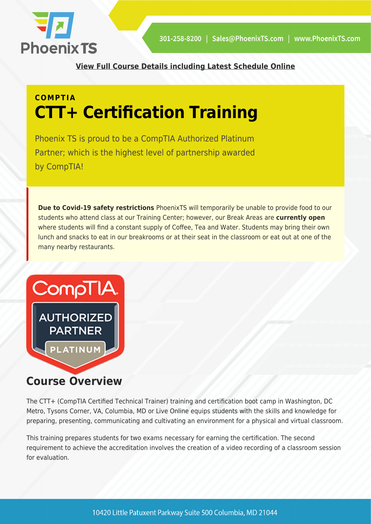

**[View Full Course Details including Latest Schedule Online](https://phoenixts.com/training-courses/comptia-ctt-plus-certified-technical/)**

# **COMPTIA CTT+ Certification Training**

Phoenix TS is proud to be a CompTIA Authorized Platinum Partner; which is the highest level of partnership awarded by CompTIA!

**Due to Covid-19 safety restrictions** PhoenixTS will temporarily be unable to provide food to our students who attend class at our Training Center; however, our Break Areas are **currently open** where students will find a constant supply of Coffee, Tea and Water. Students may bring their own lunch and snacks to eat in our breakrooms or at their seat in the classroom or eat out at one of the many nearby restaurants.



### **Course Overview**

The CTT+ (CompTIA Certified Technical Trainer) training and certification boot camp in Washington, DC Metro, Tysons Corner, VA, Columbia, MD or Live Online equips students with the skills and knowledge for preparing, presenting, communicating and cultivating an environment for a physical and virtual classroom.

This training prepares students for two exams necessary for earning the certification. The second requirement to achieve the accreditation involves the creation of a video recording of a classroom session for evaluation.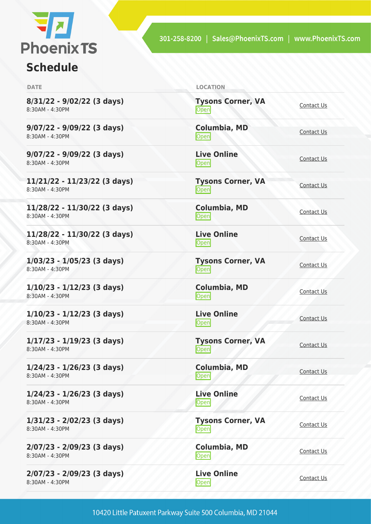

## **Schedule**

| <b>DATE</b>                                     | <b>LOCATION</b>                   |                   |
|-------------------------------------------------|-----------------------------------|-------------------|
| 8/31/22 - 9/02/22 (3 days)<br>8:30AM - 4:30PM   | <b>Tysons Corner, VA</b><br>Open  | Contact Us        |
| 9/07/22 - 9/09/22 (3 days)<br>8:30AM - 4:30PM   | <b>Columbia, MD</b><br>Open       | Contact Us        |
| 9/07/22 - 9/09/22 (3 days)<br>8:30AM - 4:30PM   | <b>Live Online</b><br>Open        | Contact Us        |
| 11/21/22 - 11/23/22 (3 days)<br>8:30AM - 4:30PM | <b>Tysons Corner, VA</b><br>Open  | Contact Us        |
| 11/28/22 - 11/30/22 (3 days)<br>8:30AM - 4:30PM | <b>Columbia, MD</b><br>Open       | Contact Us        |
| 11/28/22 - 11/30/22 (3 days)<br>8:30AM - 4:30PM | <b>Live Online</b><br>Open        | Contact Us        |
| $1/03/23 - 1/05/23$ (3 days)<br>8:30AM - 4:30PM | <b>Tysons Corner, VA</b><br>Open  | Contact Us        |
| $1/10/23 - 1/12/23$ (3 days)<br>8:30AM - 4:30PM | Columbia, MD<br>Open              | Contact Us        |
| $1/10/23 - 1/12/23$ (3 days)<br>8:30AM - 4:30PM | <b>Live Online</b><br><b>Open</b> | Contact Us        |
| $1/17/23 - 1/19/23$ (3 days)<br>8:30AM - 4:30PM | <b>Tysons Corner, VA</b><br>Open  | Contact Us        |
| $1/24/23 - 1/26/23$ (3 days)<br>8:30AM - 4:30PM | <b>Columbia, MD</b><br>Open       | Contact Us        |
| $1/24/23 - 1/26/23$ (3 days)<br>8:30AM - 4:30PM | <b>Live Online</b><br>Open        | Contact Us        |
| 1/31/23 - 2/02/23 (3 days)<br>8:30AM - 4:30PM   | <b>Tysons Corner, VA</b><br>Open  | <b>Contact Us</b> |
| 2/07/23 - 2/09/23 (3 days)<br>8:30AM - 4:30PM   | Columbia, MD<br>Open              | Contact Us        |
| 2/07/23 - 2/09/23 (3 days)<br>8:30AM - 4:30PM   | <b>Live Online</b><br>Open        | <b>Contact Us</b> |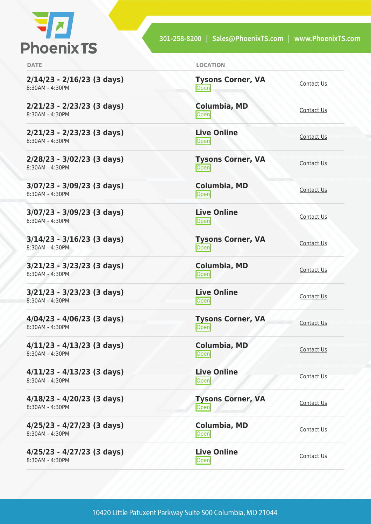

**2/14/23 - 2/16/23 (3 days)** 8:30AM - 4:30PM

**2/21/23 - 2/23/23 (3 days)** 8:30AM - 4:30PM

**2/21/23 - 2/23/23 (3 days)** 8:30AM - 4:30PM

**2/28/23 - 3/02/23 (3 days)** 8:30AM - 4:30PM

**3/07/23 - 3/09/23 (3 days)** 8:30AM - 4:30PM

**3/07/23 - 3/09/23 (3 days)** 8:30AM - 4:30PM

**3/14/23 - 3/16/23 (3 days)** 8:30AM - 4:30PM

**3/21/23 - 3/23/23 (3 days)** 8:30AM - 4:30PM

**3/21/23 - 3/23/23 (3 days)** 8:30AM - 4:30PM

**4/04/23 - 4/06/23 (3 days)** 8:30AM - 4:30PM

**4/11/23 - 4/13/23 (3 days)** 8:30AM - 4:30PM

**4/11/23 - 4/13/23 (3 days)** 8:30AM - 4:30PM

**4/18/23 - 4/20/23 (3 days)** 8:30AM - 4:30PM

**4/25/23 - 4/27/23 (3 days)** 8:30AM - 4:30PM

**4/25/23 - 4/27/23 (3 days)** 8:30AM - 4:30PM

| <b>DATE</b> | <b>LOCATION</b> |
|-------------|-----------------|
|             |                 |

**Tysons Corner, VA** <u>Open</u>

**Columbia, MD** <u>[Contact Us](https://phoenixts.com/schedule/more-info/?class=29132)</u>

**Live Online** <u>[Contact Us](https://phoenixts.com/schedule/more-info/?class=29154)</u>

**Tysons Corner, VA** <u>Open</u>

**Columbia, MD** [Contact Us](https://phoenixts.com/schedule/more-info/?class=29133)<br>
Open

**Live Online** <u>Open</u><br>Open [Contact Us](https://phoenixts.com/schedule/more-info/?class=29155)

**Tysons Corner, VA Open** Corner, vA [Contact Us](https://phoenixts.com/schedule/more-info/?class=29112)

**Columbia, MD** [Contact Us](https://phoenixts.com/schedule/more-info/?class=29134)<br>
Open

**Live Online** <u>[Contact Us](https://phoenixts.com/schedule/more-info/?class=29156)</u><br>Open

**Tysons Corner, VA Open** [Contact Us](https://phoenixts.com/schedule/more-info/?class=29113)

**Columbia, MD [Contact Us](https://phoenixts.com/schedule/more-info/?class=29135)**<br> **Open** Contact Us

**Live Online Open** [Contact Us](https://phoenixts.com/schedule/more-info/?class=29157)

**Tysons Corner, VA Open** [Contact Us](https://phoenixts.com/schedule/more-info/?class=29114)

**Columbia, MD [Contact Us](https://phoenixts.com/schedule/more-info/?class=29136)**<br>Open

**Live Online [Contact Us](https://phoenixts.com/schedule/more-info/?class=29158)**<br> **Open**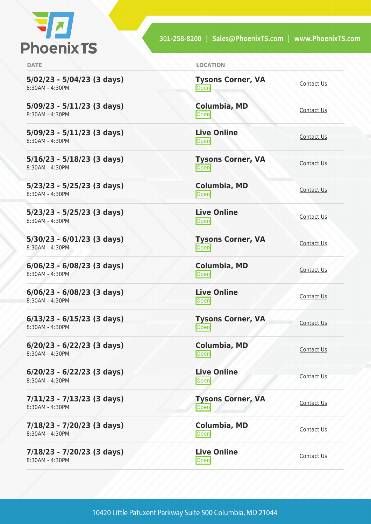

**5/02/23 - 5/04/23 (3 days)** 8:30AM - 4:30PM

**5/09/23 - 5/11/23 (3 days)** 8:30AM - 4:30PM

**5/09/23 - 5/11/23 (3 days)** 8:30AM - 4:30PM

**5/16/23 - 5/18/23 (3 days)** 8:30AM - 4:30PM

**5/23/23 - 5/25/23 (3 days)** 8:30AM - 4:30PM

**5/23/23 - 5/25/23 (3 days)** 8:30AM - 4:30PM

**5/30/23 - 6/01/23 (3 days)** 8:30AM - 4:30PM

**6/06/23 - 6/08/23 (3 days)** 8:30AM - 4:30PM

**6/06/23 - 6/08/23 (3 days)** 8:30AM - 4:30PM

**6/13/23 - 6/15/23 (3 days)** 8:30AM - 4:30PM

**6/20/23 - 6/22/23 (3 days)** 8:30AM - 4:30PM

**6/20/23 - 6/22/23 (3 days)** 8:30AM - 4:30PM

**7/11/23 - 7/13/23 (3 days)** 8:30AM - 4:30PM

**7/18/23 - 7/20/23 (3 days)** 8:30AM - 4:30PM

**7/18/23 - 7/20/23 (3 days)** 8:30AM - 4:30PM

| <b>DATE</b> | <b>LOCATION</b> |
|-------------|-----------------|
|             |                 |

**Tysons Corner, VA** <u>Open</u>

**Columbia, MD** <u>[Contact Us](https://phoenixts.com/schedule/more-info/?class=29137)</u>

**Live Online** <u>[Contact Us](https://phoenixts.com/schedule/more-info/?class=29159)</u>

**Tysons Corner, VA** <u>Open</u>

**Columbia, MD** [Contact Us](https://phoenixts.com/schedule/more-info/?class=29138)<br>
Open

**Live Online** <u>Open</u><br>Open [Contact Us](https://phoenixts.com/schedule/more-info/?class=29160)

**Tysons Corner, VA Open** Corner, vA [Contact Us](https://phoenixts.com/schedule/more-info/?class=29117)

**Columbia, MD** [Contact Us](https://phoenixts.com/schedule/more-info/?class=29139)<br>
Open

**Live Online** <u>[Contact Us](https://phoenixts.com/schedule/more-info/?class=29161)</u><br>Open

**Tysons Corner, VA Open** [Contact Us](https://phoenixts.com/schedule/more-info/?class=29118)

**Columbia, MD [Contact Us](https://phoenixts.com/schedule/more-info/?class=29140)**<br> **Open** Contact Us

**Live Online Open** [Contact Us](https://phoenixts.com/schedule/more-info/?class=29162)

**Tysons Corner, VA Open** [Contact Us](https://phoenixts.com/schedule/more-info/?class=29119)

**Columbia, MD [Contact Us](https://phoenixts.com/schedule/more-info/?class=29141)**<br>Open

**Live Online [Contact Us](https://phoenixts.com/schedule/more-info/?class=29163)**<br> **Open**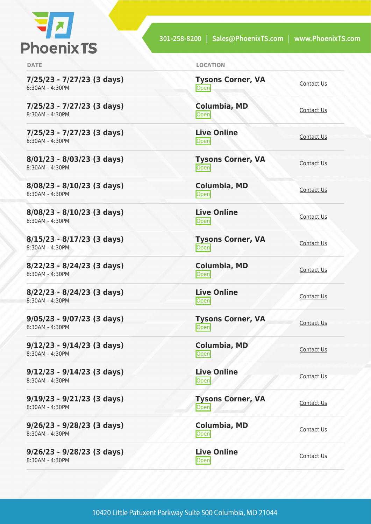

**7/25/23 - 7/27/23 (3 days)** 8:30AM - 4:30PM

**7/25/23 - 7/27/23 (3 days)** 8:30AM - 4:30PM

**7/25/23 - 7/27/23 (3 days)** 8:30AM - 4:30PM

**8/01/23 - 8/03/23 (3 days)** 8:30AM - 4:30PM

**8/08/23 - 8/10/23 (3 days)** 8:30AM - 4:30PM

**8/08/23 - 8/10/23 (3 days)** 8:30AM - 4:30PM

**8/15/23 - 8/17/23 (3 days)** 8:30AM - 4:30PM

**8/22/23 - 8/24/23 (3 days)** 8:30AM - 4:30PM

**8/22/23 - 8/24/23 (3 days)** 8:30AM - 4:30PM

**9/05/23 - 9/07/23 (3 days)** 8:30AM - 4:30PM

**9/12/23 - 9/14/23 (3 days)** 8:30AM - 4:30PM

**9/12/23 - 9/14/23 (3 days)** 8:30AM - 4:30PM

**9/19/23 - 9/21/23 (3 days)** 8:30AM - 4:30PM

**9/26/23 - 9/28/23 (3 days)** 8:30AM - 4:30PM

**9/26/23 - 9/28/23 (3 days)** 8:30AM - 4:30PM

| <b>DATE</b> | <b>LOCATION</b> |
|-------------|-----------------|
|             |                 |

**Tysons Corner, VA** <u>Open</u>

**Columbia, MD** <u>[Contact Us](https://phoenixts.com/schedule/more-info/?class=29142)</u>

**Live Online** <u>[Contact Us](https://phoenixts.com/schedule/more-info/?class=29164)</u>

**Tysons Corner, VA** <u>Open</u>

**Columbia, MD** [Contact Us](https://phoenixts.com/schedule/more-info/?class=29143)<br>
Open

**Live Online** <u>Open</u><br>Open [Contact Us](https://phoenixts.com/schedule/more-info/?class=29165)

**Tysons Corner, VA Open** Corner, vA [Contact Us](https://phoenixts.com/schedule/more-info/?class=29122)

**Columbia, MD** [Contact Us](https://phoenixts.com/schedule/more-info/?class=29144)<br>
Open

**Live Online** <u>[Contact Us](https://phoenixts.com/schedule/more-info/?class=29166)</u><br>Open

**Tysons Corner, VA Open** [Contact Us](https://phoenixts.com/schedule/more-info/?class=29123)

**Columbia, MD [Contact Us](https://phoenixts.com/schedule/more-info/?class=29145)**<br> **Open** Contact Us

**Live Online Open** [Contact Us](https://phoenixts.com/schedule/more-info/?class=29167)

**Tysons Corner, VA Open** [Contact Us](https://phoenixts.com/schedule/more-info/?class=29124)

**Columbia, MD [Contact Us](https://phoenixts.com/schedule/more-info/?class=29146)**<br>Open

**Live Online [Contact Us](https://phoenixts.com/schedule/more-info/?class=29168)**<br> **Open**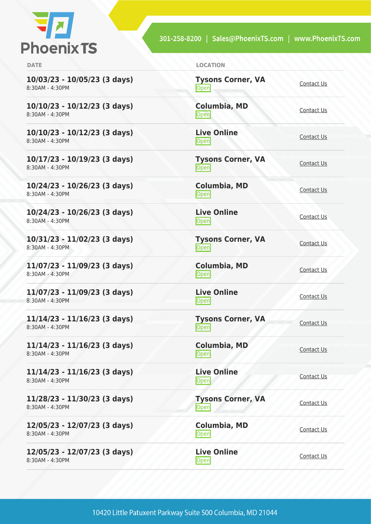

| <b>DATE</b>                                       | <b>LOCATION</b>                   |                   |
|---------------------------------------------------|-----------------------------------|-------------------|
| $10/03/23 - 10/05/23$ (3 days)<br>8:30AM - 4:30PM | <b>Tysons Corner, VA</b><br>Open  | Contact Us        |
| $10/10/23 - 10/12/23$ (3 days)<br>8:30AM - 4:30PM | <b>Columbia, MD</b><br>Open       | Contact Us        |
| $10/10/23 - 10/12/23$ (3 days)<br>8:30AM - 4:30PM | <b>Live Online</b><br>Open        | Contact Us        |
| $10/17/23 - 10/19/23$ (3 days)<br>8:30AM - 4:30PM | <b>Tysons Corner, VA</b><br>Open  | Contact Us        |
| $10/24/23 - 10/26/23$ (3 days)<br>8:30AM - 4:30PM | Columbia, MD<br>Open              | Contact Us        |
| $10/24/23 - 10/26/23$ (3 days)<br>8:30AM - 4:30PM | <b>Live Online</b><br><b>Open</b> | Contact Us        |
| $10/31/23 - 11/02/23$ (3 days)<br>8:30AM - 4:30PM | <b>Tysons Corner, VA</b><br>Open  | Contact Us        |
| $11/07/23 - 11/09/23$ (3 days)<br>8:30AM - 4:30PM | <b>Columbia, MD</b><br>Open       | Contact Us        |
| $11/07/23 - 11/09/23$ (3 days)<br>8:30AM - 4:30PM | <b>Live Online</b><br>Open        | Contact Us        |
| $11/14/23 - 11/16/23$ (3 days)<br>8:30AM - 4:30PM | <b>Tysons Corner, VA</b><br>Open  | Contact Us        |
| $11/14/23 - 11/16/23$ (3 days)<br>8:30AM - 4:30PM | Columbia, MD<br>Open              | Contact Us        |
| $11/14/23 - 11/16/23$ (3 days)<br>8:30AM - 4:30PM | <b>Live Online</b><br>Open        | Contact Us        |
| $11/28/23 - 11/30/23$ (3 days)<br>8:30AM - 4:30PM | <b>Tysons Corner, VA</b><br>Open  | Contact Us        |
| 12/05/23 - 12/07/23 (3 days)<br>8:30AM - 4:30PM   | Columbia, MD<br>Open              | <b>Contact Us</b> |
| 12/05/23 - 12/07/23 (3 days)<br>8:30AM - 4:30PM   | <b>Live Online</b><br>Open        | Contact Us        |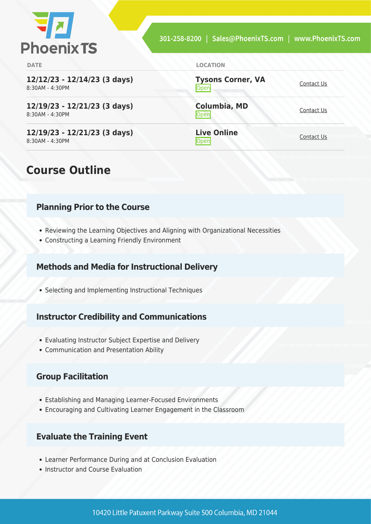

<u>Open</u>

<u>[Contact Us](https://phoenixts.com/schedule/more-info/?class=29152)</u>

<u>[Contact Us](https://phoenixts.com/schedule/more-info/?class=29174)</u>

**Tysons Corner, VA**

**Columbia, MD**

**Live Online**

**DATE LOCATION**

**12/12/23 - 12/14/23 (3 days)** 8:30AM - 4:30PM

**12/19/23 - 12/21/23 (3 days)** 8:30AM - 4:30PM

**12/19/23 - 12/21/23 (3 days)** 8:30AM - 4:30PM

### **Course Outline**

#### **Planning Prior to the Course**

- Reviewing the Learning Objectives and Aligning with Organizational Necessities
- Constructing a Learning Friendly Environment

#### **Methods and Media for Instructional Delivery**

Selecting and Implementing Instructional Techniques

#### **Instructor Credibility and Communications**

- Evaluating Instructor Subject Expertise and Delivery
- Communication and Presentation Ability

#### **Group Facilitation**

- Establishing and Managing Learner-Focused Environments
- Encouraging and Cultivating Learner Engagement in the Classroom

#### **Evaluate the Training Event**

- Learner Performance During and at Conclusion Evaluation
- Instructor and Course Evaluation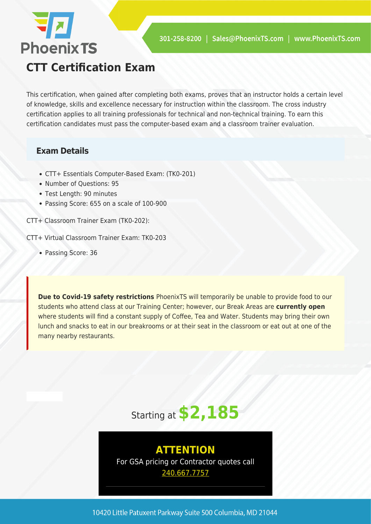

**CTT Certification Exam**

This certification, when gained after completing both exams, proves that an instructor holds a certain level of knowledge, skills and excellence necessary for instruction within the classroom. The cross industry certification applies to all training professionals for technical and non-technical training. To earn this certification candidates must pass the computer-based exam and a classroom trainer evaluation.

#### **Exam Details**

**72** 

**Phoenix TS** 

- CTT+ Essentials Computer-Based Exam: (TK0-201)
- Number of Questions: 95
- Test Length: 90 minutes
- Passing Score: 655 on a scale of 100-900

CTT+ Classroom Trainer Exam (TK0-202):

CTT+ Virtual Classroom Trainer Exam: TK0-203

• Passing Score: 36

**Due to Covid-19 safety restrictions** PhoenixTS will temporarily be unable to provide food to our students who attend class at our Training Center; however, our Break Areas are **currently open** where students will find a constant supply of Coffee, Tea and Water. Students may bring their own lunch and snacks to eat in our breakrooms or at their seat in the classroom or eat out at one of the many nearby restaurants.



**ATTENTION** For GSA pricing or Contractor quotes call [240.667.7757](#page--1-0)

10420 Little Patuxent Parkway Suite 500 Columbia, MD 21044